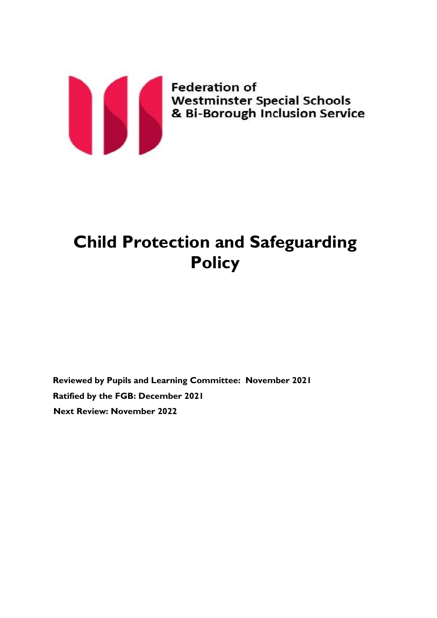

# **Child Protection and Safeguarding Policy**

**Reviewed by Pupils and Learning Committee: November 2021 Ratified by the FGB: December 2021 Next Review: November 2022**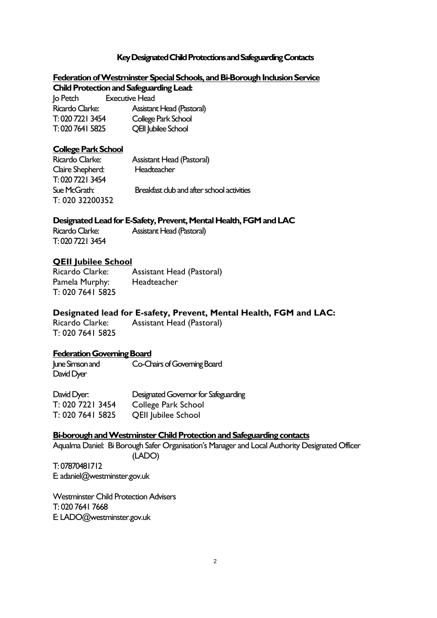# **Key Designated Child Protections and Safeguarding Contacts**

# Federation of Westminster Special Schools, and Bi-Borough Inclusion Service

**Child Protection and Safeguarding Lead:** 

| Jo Petch         | <b>Executive Head</b>            |
|------------------|----------------------------------|
| Ricardo Clarke:  | <b>Assistant Head (Pastoral)</b> |
| T: 020 7221 3454 | College Park School              |
| T: 020 7641 5825 | <b>QEII Jubilee School</b>       |

### **College Park School**

| Ricardo Clarke:  | <b>Assistant Head (Pastoral)</b>           |
|------------------|--------------------------------------------|
| Claire Shepherd: | Headteacher                                |
| T: 020 7221 3454 |                                            |
| Sue McGrath:     | Breakfast club and after school activities |
| T: 020 32200352  |                                            |

# **Designated Lead for E-Safety, Prevent, Mental Health, FGM and LAC**

Ricardo Clarke: Assistant Head (Pastoral) T: 020 7221 3454

# **QEII Jubilee School**

Ricardo Clarke: Assistant Head (Pastoral) Pamela Murphy: Headteacher T: 020 7641 5825

# **Designated lead for E-safety, Prevent, Mental Health, FGM and LAC:**

Ricardo Clarke: Assistant Head (Pastoral) T: 020 7641 5825

**Federation Governing Board** June Simson and Co-Chairs of Governing Board David Dyer

David Dyer: Designated Governor for Safeguarding T: 020 7221 3454 College Park School T: 020 7641 5825 QEII Jubilee School

#### **Bi-borough and Westminster Child Protection and Safeguarding contacts**

Aqualma Daniel: Bi Borough Safer Organisation's Manager and Local Authority Designated Officer (LADO)

T: 07870481712 E: adaniel@westminster.gov.uk

Westminster Child Protection Advisers T: 020 7641 7668 E: LADO@westminster.gov.uk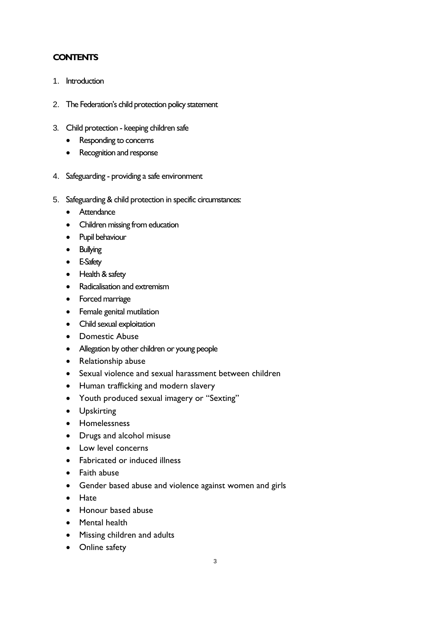# **CONTENTS**

- 1. Introduction
- 2. The Federation's child protection policy statement
- 3. Child protection keeping children safe
	- Responding to concerns
	- Recognition and response
- 4. Safeguarding providing a safe environment
- 5. Safeguarding & child protection in specific circumstances:
	- Attendance
	- Children missing from education
	- Pupil behaviour
	- Bullying
	- E-Safety
	- Health & safety
	- Radicalisation and extremism
	- Forced marriage
	- Female genital mutilation
	- Child sexual exploitation
	- Domestic Abuse
	- Allegation by other children or young people
	- Relationship abuse
	- Sexual violence and sexual harassment between children
	- Human trafficking and modern slavery
	- Youth produced sexual imagery or "Sexting"
	- Upskirting
	- Homelessness
	- Drugs and alcohol misuse
	- Low level concerns
	- Fabricated or induced illness
	- Faith abuse
	- Gender based abuse and violence against women and girls
	- Hate
	- Honour based abuse
	- Mental health
	- Missing children and adults
	- Online safety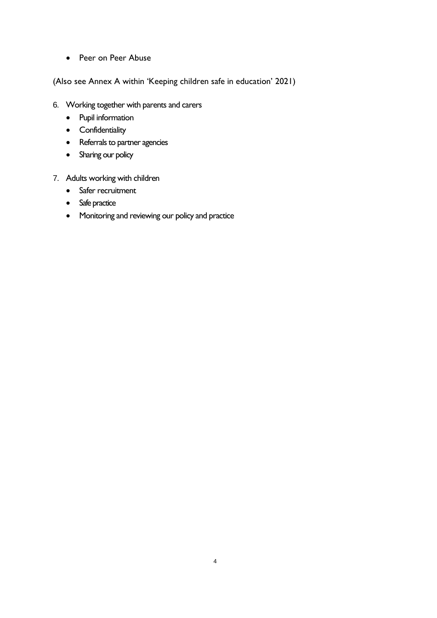• Peer on Peer Abuse

(Also see Annex A within 'Keeping children safe in education' 2021)

- 6. Working together with parents and carers
	- Pupil information
	- Confidentiality
	- Referrals to partner agencies
	- Sharing our policy
- 7. Adults working with children
	- Safer recruitment
	- Safe practice
	- Monitoring and reviewing our policy and practice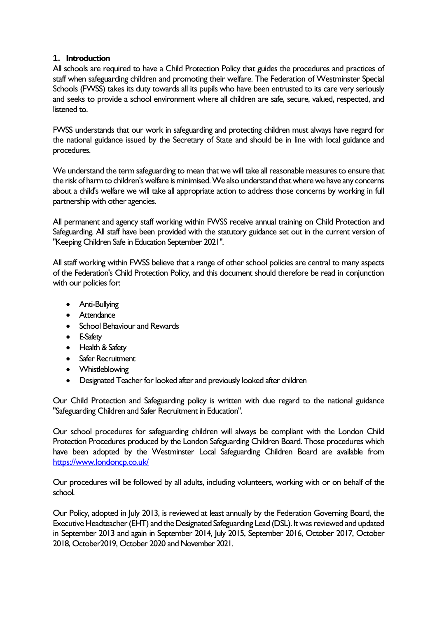# **1. Introduction**

All schools are required to have a Child Protection Policy that guides the procedures and practices of staff when safeguarding children and promoting their welfare. The Federation of Westminster Special Schools (FWSS) takes its duty towards all its pupils who have been entrusted to its care very seriously and seeks to provide a school environment where all children are safe, secure, valued, respected, and listened to.

FWSS understands that our work in safeguarding and protecting children must always have regard for the national guidance issued by the Secretary of State and should be in line with local guidance and procedures.

We understand the term safeguarding to mean that we will take all reasonable measures to ensure that the risk of harm to children's welfare is minimised. We also understand that where we have any concerns about a child's welfare we will take all appropriate action to address those concerns by working in full partnership with other agencies.

All permanent and agency staff working within FWSS receive annual training on Child Protection and Safeguarding. All staff have been provided with the statutory guidance set out in the current version of "Keeping Children Safe in Education September 2021".

All staff working within FWSS believe that a range of other school policies are central to many aspects of the Federation's Child Protection Policy, and this document should therefore be read in conjunction with our policies for:

- Anti-Bullying
- Attendance
- School Behaviour and Rewards
- E-Safety
- Health & Safety
- Safer Recruitment
- Whistleblowing
- Designated Teacher for looked after and previously looked after children

Our Child Protection and Safeguarding policy is written with due regard to the national guidance "Safeguarding Children and Safer Recruitment in Education".

Our school procedures for safeguarding children will always be compliant with the London Child Protection Procedures produced by the London Safeguarding Children Board. Those procedures which have been adopted by the Westminster Local Safeguarding Children Board are available from <https://www.londoncp.co.uk/>

Our procedures will be followed by all adults, including volunteers, working with or on behalf of the school.

Our Policy, adopted in July 2013, is reviewed at least annually by the Federation Governing Board, the Executive Headteacher (EHT) and the Designated Safeguarding Lead (DSL). It was reviewed and updated in September 2013 and again in September 2014, July 2015, September 2016, October 2017, October 2018, October2019, October 2020 and November 2021.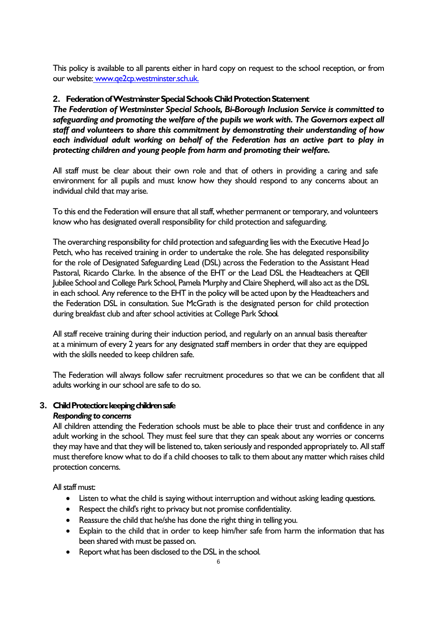This policy is available to all parents either in hard copy on request to the school reception, or from our website: www.qe2cp.westminster.sch.uk.

# **2. Federation of Westminster Special Schools Child Protection Statement**

*The Federation of Westminster Special Schools, Bi-Borough Inclusion Service is committed to safeguarding and promoting the welfare of the pupils we work with. The Governors expect all staff and volunteers to share this commitment by demonstrating their understanding of how each individual adult working on behalf of the Federation has an active part to play in protecting children and young people from harm and promoting their welfare.*

All staff must be clear about their own role and that of others in providing a caring and safe environment for all pupils and must know how they should respond to any concerns about an individual child that may arise.

To this end the Federation will ensure that all staff, whether permanent or temporary, and volunteers know who has designated overall responsibility for child protection and safeguarding.

The overarching responsibility for child protection and safeguarding lies with the Executive Head Jo Petch, who has received training in order to undertake the role. She has delegated responsibility for the role of Designated Safeguarding Lead (DSL) across the Federation to the Assistant Head Pastoral, Ricardo Clarke. In the absence of the EHT or the Lead DSL the Headteachers at QEII Jubilee School and College Park School, Pamela Murphy and Claire Shepherd, will also act as the DSL in each school. Any reference to the EHT in the policy will be acted upon by the Headteachers and the Federation DSL in consultation. Sue McGrath is the designated person for child protection during breakfast club and after school activities at College Park School.

All staff receive training during their induction period, and regularly on an annual basis thereafter at a minimum of every 2 years for any designated staff members in order that they are equipped with the skills needed to keep children safe.

The Federation will always follow safer recruitment procedures so that we can be confident that all adults working in our school are safe to do so.

# **3. Child Protection: keeping children safe**

# *Responding to concerns*

All children attending the Federation schools must be able to place their trust and confidence in any adult working in the school. They must feel sure that they can speak about any worries or concerns they may have and that they will be listened to, taken seriously and responded appropriately to. All staff must therefore know what to do if a child chooses to talk to them about any matter which raises child protection concerns.

All staff must:

- Listen to what the child is saying without interruption and without asking leading questions.
- Respect the child's right to privacy but not promise confidentiality.
- Reassure the child that he/she has done the right thing in telling you.
- Explain to the child that in order to keep him/her safe from harm the information that has been shared with must be passed on.
- Report what has been disclosed to the DSL in the school.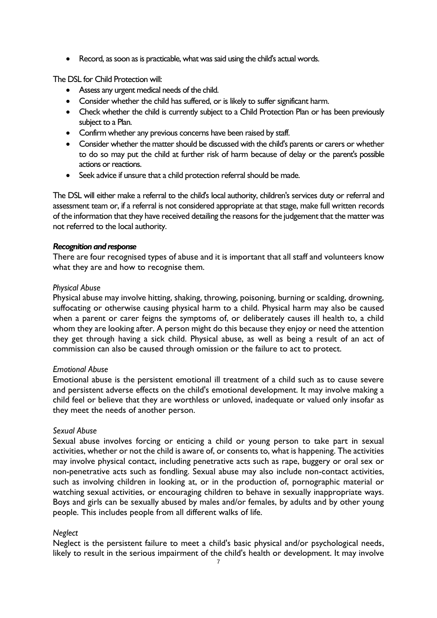• Record, as soon as is practicable, what was said using the child's actual words.

The DSL for Child Protection will:

- Assess any urgent medical needs of the child.
- Consider whether the child has suffered, or is likely to suffer significant harm.
- Check whether the child is currently subject to a Child Protection Plan or has been previously subject to a Plan.
- Confirm whether any previous concerns have been raised by staff.
- Consider whether the matter should be discussed with the child's parents or carers or whether to do so may put the child at further risk of harm because of delay or the parent's possible actions or reactions.
- Seek advice if unsure that a child protection referral should be made.

The DSL will either make a referral to the child's local authority, children's services duty or referral and assessment team or, if a referral is not considered appropriate at that stage, make full written records of the information that they have received detailing the reasons for the judgement that the matter was not referred to the local authority.

# *Recognition and response*

There are four recognised types of abuse and it is important that all staff and volunteers know what they are and how to recognise them.

# *Physical Abuse*

Physical abuse may involve hitting, shaking, throwing, poisoning, burning or scalding, drowning, suffocating or otherwise causing physical harm to a child. Physical harm may also be caused when a parent or carer feigns the symptoms of, or deliberately causes ill health to, a child whom they are looking after. A person might do this because they enjoy or need the attention they get through having a sick child. Physical abuse, as well as being a result of an act of commission can also be caused through omission or the failure to act to protect.

# *Emotional Abuse*

Emotional abuse is the persistent emotional ill treatment of a child such as to cause severe and persistent adverse effects on the child's emotional development. It may involve making a child feel or believe that they are worthless or unloved, inadequate or valued only insofar as they meet the needs of another person.

# *Sexual Abuse*

Sexual abuse involves forcing or enticing a child or young person to take part in sexual activities, whether or not the child is aware of, or consents to, what is happening. The activities may involve physical contact, including penetrative acts such as rape, buggery or oral sex or non-penetrative acts such as fondling. Sexual abuse may also include non-contact activities, such as involving children in looking at, or in the production of, pornographic material or watching sexual activities, or encouraging children to behave in sexually inappropriate ways. Boys and girls can be sexually abused by males and/or females, by adults and by other young people. This includes people from all different walks of life.

# *Neglect*

Neglect is the persistent failure to meet a child's basic physical and/or psychological needs, likely to result in the serious impairment of the child's health or development. It may involve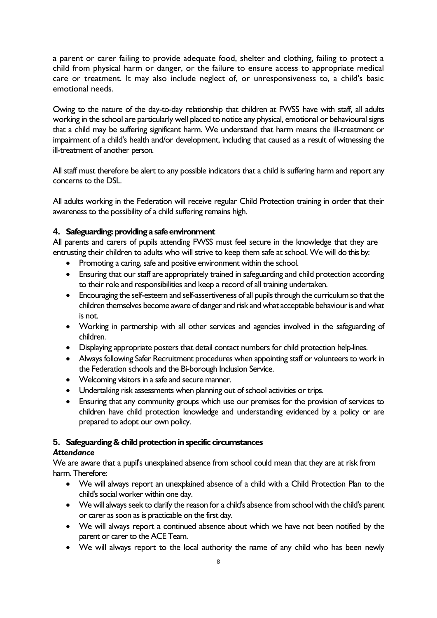a parent or carer failing to provide adequate food, shelter and clothing, failing to protect a child from physical harm or danger, or the failure to ensure access to appropriate medical care or treatment. It may also include neglect of, or unresponsiveness to, a child's basic emotional needs.

Owing to the nature of the day-to-day relationship that children at FWSS have with staff, all adults working in the school are particularly well placed to notice any physical, emotional or behavioural signs that a child may be suffering significant harm. We understand that harm means the ill-treatment or impairment of a child's health and/or development, including that caused as a result of witnessing the ill-treatment of another person.

All staff must therefore be alert to any possible indicators that a child is suffering harm and report any concerns to the DSL.

All adults working in the Federation will receive regular Child Protection training in order that their awareness to the possibility of a child suffering remains high.

# **4. Safeguarding: providing a safe environment**

All parents and carers of pupils attending FWSS must feel secure in the knowledge that they are entrusting their children to adults who will strive to keep them safe at school. We will do this by:

- Promoting a caring, safe and positive environment within the school.
- Ensuring that our staff are appropriately trained in safeguarding and child protection according to their role and responsibilities and keep a record of all training undertaken.
- Encouraging the self-esteem and self-assertiveness of all pupils through the curriculum so that the children themselves become aware of danger and risk and what acceptable behaviour is and what is not.
- Working in partnership with all other services and agencies involved in the safeguarding of children.
- Displaying appropriate posters that detail contact numbers for child protection help-lines.
- Always following Safer Recruitment procedures when appointing staff or volunteers to work in the Federation schools and the Bi-borough Inclusion Service.
- Welcoming visitors in a safe and secure manner.
- Undertaking risk assessments when planning out of school activities or trips.
- Ensuring that any community groups which use our premises for the provision of services to children have child protection knowledge and understanding evidenced by a policy or are prepared to adopt our own policy.

# **5. Safeguarding & child protection in specific circumstances**

# *Attendance*

We are aware that a pupil's unexplained absence from school could mean that they are at risk from harm. Therefore:

- We will always report an unexplained absence of a child with a Child Protection Plan to the child's social worker within one day.
- We will always seek to clarify the reason for a child's absence from school with the child's parent or carer as soon as is practicable on the first day.
- We will always report a continued absence about which we have not been notified by the parent or carer to the ACE Team.
- We will always report to the local authority the name of any child who has been newly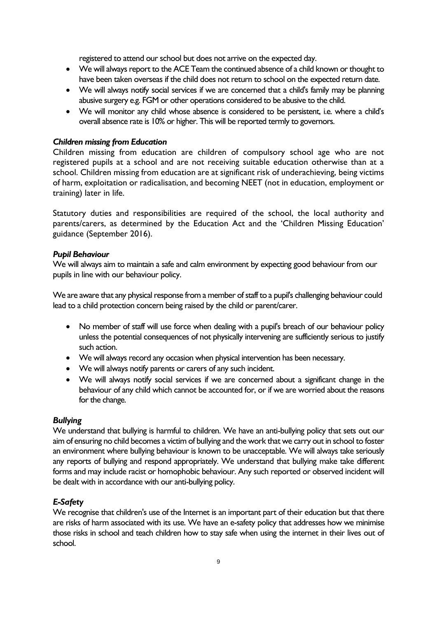registered to attend our school but does not arrive on the expected day.

- We will always report to the ACE Team the continued absence of a child known or thought to have been taken overseas if the child does not return to school on the expected return date.
- We will always notify social services if we are concerned that a child's family may be planning abusive surgery e.g. FGM or other operations considered to be abusive to the child.
- We will monitor any child whose absence is considered to be persistent, i.e. where a child's overall absence rate is 10% or higher. This will be reported termly to governors.

# *Children missing from Education*

Children missing from education are children of compulsory school age who are not registered pupils at a school and are not receiving suitable education otherwise than at a school. Children missing from education are at significant risk of underachieving, being victims of harm, exploitation or radicalisation, and becoming NEET (not in education, employment or training) later in life.

Statutory duties and responsibilities are required of the school, the local authority and parents/carers, as determined by the Education Act and the 'Children Missing Education' guidance (September 2016).

# *Pupil Behaviour*

We will always aim to maintain a safe and calm environment by expecting good behaviour from our pupils in line with our behaviour policy.

We are aware that any physical response from a member of staff to a pupil's challenging behaviour could lead to a child protection concern being raised by the child or parent/carer.

- No member of staff will use force when dealing with a pupil's breach of our behaviour policy unless the potential consequences of not physically intervening are sufficiently serious to justify such action.
- We will always record any occasion when physical intervention has been necessary.
- We will always notify parents or carers of any such incident.
- We will always notify social services if we are concerned about a significant change in the behaviour of any child which cannot be accounted for, or if we are worried about the reasons for the change.

# *Bullying*

We understand that bullying is harmful to children. We have an anti-bullying policy that sets out our aim of ensuring no child becomes a victim of bullying and the work that we carry out in school to foster an environment where bullying behaviour is known to be unacceptable. We will always take seriously any reports of bullying and respond appropriately. We understand that bullying make take different forms and may include racist or homophobic behaviour. Any such reported or observed incident will be dealt with in accordance with our anti-bullying policy.

# *E-Safety*

We recognise that children's use of the Internet is an important part of their education but that there are risks of harm associated with its use. We have an e-safety policy that addresses how we minimise those risks in school and teach children how to stay safe when using the internet in their lives out of school.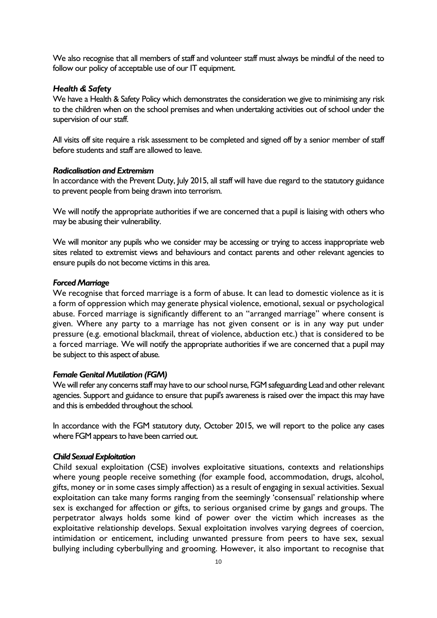We also recognise that all members of staff and volunteer staff must always be mindful of the need to follow our policy of acceptable use of our IT equipment.

#### *Health & Safety*

We have a Health & Safety Policy which demonstrates the consideration we give to minimising any risk to the children when on the school premises and when undertaking activities out of school under the supervision of our staff.

All visits off site require a risk assessment to be completed and signed off by a senior member of staff before students and staff are allowed to leave.

#### *Radicalisation and Extremism*

In accordance with the Prevent Duty, July 2015, all staff will have due regard to the statutory guidance to prevent people from being drawn into terrorism.

We will notify the appropriate authorities if we are concerned that a pupil is liaising with others who may be abusing their vulnerability.

We will monitor any pupils who we consider may be accessing or trying to access inappropriate web sites related to extremist views and behaviours and contact parents and other relevant agencies to ensure pupils do not become victims in this area.

#### *Forced Marriage*

We recognise that forced marriage is a form of abuse. It can lead to domestic violence as it is a form of oppression which may generate physical violence, emotional, sexual or psychological abuse. Forced marriage is significantly different to an "arranged marriage" where consent is given. Where any party to a marriage has not given consent or is in any way put under pressure (e.g. emotional blackmail, threat of violence, abduction etc.) that is considered to be a forced marriage. We will notify the appropriate authorities if we are concerned that a pupil may be subject to this aspect of abuse.

#### *Female Genital Mutilation (FGM)*

We will refer any concerns staff may have to our school nurse, FGM safeguarding Lead and other relevant agencies. Support and guidance to ensure that pupil's awareness is raised over the impact this may have and this is embedded throughout the school.

In accordance with the FGM statutory duty, October 2015, we will report to the police any cases where FGM appears to have been carried out.

#### *Child Sexual Exploitation*

Child sexual exploitation (CSE) involves exploitative situations, contexts and relationships where young people receive something (for example food, accommodation, drugs, alcohol, gifts, money or in some cases simply affection) as a result of engaging in sexual activities. Sexual exploitation can take many forms ranging from the seemingly 'consensual' relationship where sex is exchanged for affection or gifts, to serious organised crime by gangs and groups. The perpetrator always holds some kind of power over the victim which increases as the exploitative relationship develops. Sexual exploitation involves varying degrees of coercion, intimidation or enticement, including unwanted pressure from peers to have sex, sexual bullying including cyberbullying and grooming. However, it also important to recognise that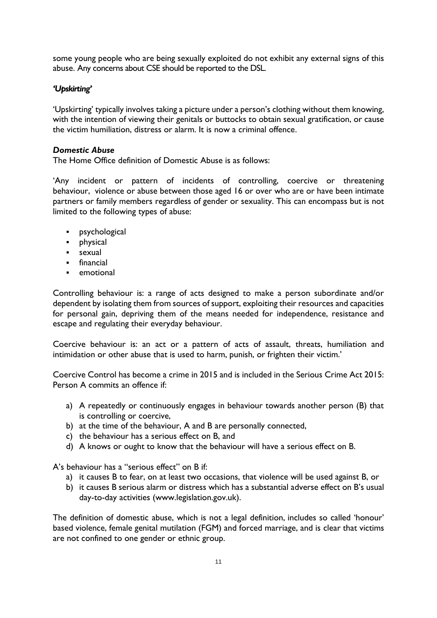some young people who are being sexually exploited do not exhibit any external signs of this abuse. Any concerns about CSE should be reported to the DSL.

# *'Upskirting'*

'Upskirting' typically involves taking a picture under a person's clothing without them knowing, with the intention of viewing their genitals or buttocks to obtain sexual gratification, or cause the victim humiliation, distress or alarm. It is now a criminal offence.

# *Domestic Abuse*

The Home Office definition of Domestic Abuse is as follows:

'Any incident or pattern of incidents of controlling, coercive or threatening behaviour, violence or abuse between those aged 16 or over who are or have been intimate partners or family members regardless of gender or sexuality. This can encompass but is not limited to the following types of abuse:

- psychological
- physical
- sexual
- financial
- emotional

Controlling behaviour is: a range of acts designed to make a person subordinate and/or dependent by isolating them from sources of support, exploiting their resources and capacities for personal gain, depriving them of the means needed for independence, resistance and escape and regulating their everyday behaviour.

Coercive behaviour is: an act or a pattern of acts of assault, threats, humiliation and intimidation or other abuse that is used to harm, punish, or frighten their victim.'

Coercive Control has become a crime in 2015 and is included in the Serious Crime Act 2015: Person A commits an offence if:

- a) A repeatedly or continuously engages in behaviour towards another person (B) that is controlling or coercive,
- b) at the time of the behaviour, A and B are personally connected,
- c) the behaviour has a serious effect on B, and
- d) A knows or ought to know that the behaviour will have a serious effect on B.

A's behaviour has a "serious effect" on B if:

- a) it causes B to fear, on at least two occasions, that violence will be used against B, or
- b) it causes B serious alarm or distress which has a substantial adverse effect on B's usual day-to-day activities (www.legislation.gov.uk).

The definition of domestic abuse, which is not a legal definition, includes so called 'honour' based violence, female genital mutilation (FGM) and forced marriage, and is clear that victims are not confined to one gender or ethnic group.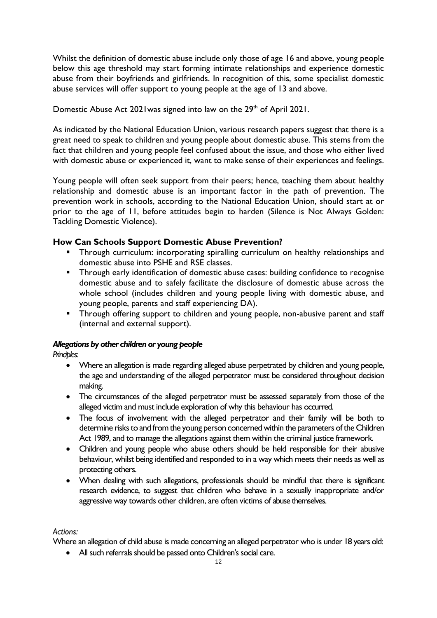Whilst the definition of domestic abuse include only those of age 16 and above, young people below this age threshold may start forming intimate relationships and experience domestic abuse from their boyfriends and girlfriends. In recognition of this, some specialist domestic abuse services will offer support to young people at the age of 13 and above.

Domestic Abuse Act 2021 was signed into law on the 29<sup>th</sup> of April 2021.

As indicated by the National Education Union, various research papers suggest that there is a great need to speak to children and young people about domestic abuse. This stems from the fact that children and young people feel confused about the issue, and those who either lived with domestic abuse or experienced it, want to make sense of their experiences and feelings.

Young people will often seek support from their peers; hence, teaching them about healthy relationship and domestic abuse is an important factor in the path of prevention. The prevention work in schools, according to the National Education Union, should start at or prior to the age of 11, before attitudes begin to harden (Silence is Not Always Golden: Tackling Domestic Violence).

# **How Can Schools Support Domestic Abuse Prevention?**

- **•** Through curriculum: incorporating spiralling curriculum on healthy relationships and domestic abuse into PSHE and RSE classes.
- **Through early identification of domestic abuse cases: building confidence to recognise** domestic abuse and to safely facilitate the disclosure of domestic abuse across the whole school (includes children and young people living with domestic abuse, and young people, parents and staff experiencing DA).
- **EXT** Through offering support to children and young people, non-abusive parent and staff (internal and external support).

# *Allegations by other children or young people*

*Principles:*

- Where an allegation is made regarding alleged abuse perpetrated by children and young people, the age and understanding of the alleged perpetrator must be considered throughout decision making.
- The circumstances of the alleged perpetrator must be assessed separately from those of the alleged victim and must include exploration of why this behaviour has occurred.
- The focus of involvement with the alleged perpetrator and their family will be both to determine risks to and from the young person concerned within the parameters of the Children Act 1989, and to manage the allegations against them within the criminal justice framework.
- Children and young people who abuse others should be held responsible for their abusive behaviour, whilst being identified and responded to in a way which meets their needs as well as protecting others.
- When dealing with such allegations, professionals should be mindful that there is significant research evidence, to suggest that children who behave in a sexually inappropriate and/or aggressive way towards other children, are often victims of abuse themselves.

# *Actions:*

Where an allegation of child abuse is made concerning an alleged perpetrator who is under 18 years old:

• All such referrals should be passed onto Children's social care.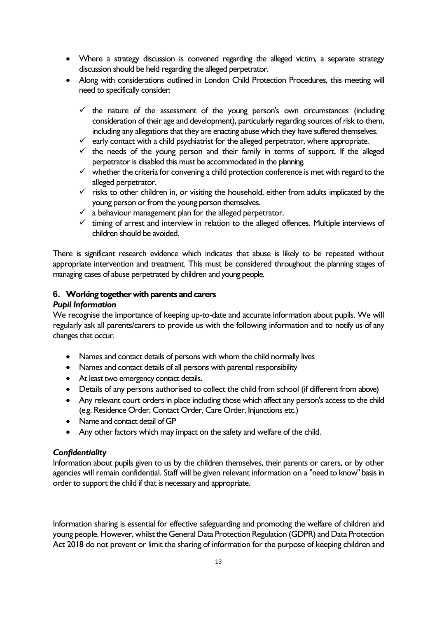- Where a strategy discussion is convened regarding the alleged victim, a separate strategy discussion should be held regarding the alleged perpetrator.
- Along with considerations outlined in London Child Protection Procedures, this meeting will need to specifically consider:
	- $\checkmark$  the nature of the assessment of the young person's own circumstances (including consideration of their age and development), particularly regarding sources of risk to them, including any allegations that they are enacting abuse which they have suffered themselves.
	- $\checkmark$  early contact with a child psychiatrist for the alleged perpetrator, where appropriate.
	- $\checkmark$  the needs of the young person and their family in terms of support. If the alleged perpetrator is disabled this must be accommodated in the planning.
	- $\checkmark$  whether the criteria for convening a child protection conference is met with regard to the alleged perpetrator.
	- $\checkmark$  risks to other children in, or visiting the household, either from adults implicated by the young person or from the young person themselves.
	- $\checkmark$  a behaviour management plan for the alleged perpetrator.
	- ✓ timing of arrest and interview in relation to the alleged offences. Multiple interviews of children should be avoided.

There is significant research evidence which indicates that abuse is likely to be repeated without appropriate intervention and treatment. This must be considered throughout the planning stages of managing cases of abuse perpetrated by children and young people.

# **6. Working together with parents and carers**

### *Pupil Information*

We recognise the importance of keeping up-to-date and accurate information about pupils. We will regularly ask all parents/carers to provide us with the following information and to notify us of any changes that occur.

- Names and contact details of persons with whom the child normally lives
- Names and contact details of all persons with parental responsibility
- At least two emergency contact details.
- Details of any persons authorised to collect the child from school (if different from above)
- Any relevant court orders in place including those which affect any person's access to the child (e.g. Residence Order, Contact Order, Care Order, Injunctions etc.)
- Name and contact detail of GP
- Any other factors which may impact on the safety and welfare of the child.

# *Confidentiality*

Information about pupils given to us by the children themselves, their parents or carers, or by other agencies will remain confidential. Staff will be given relevant information on a "need to know" basis in order to support the child if that is necessary and appropriate.

Information sharing is essential for effective safeguarding and promoting the welfare of children and young people. However, whilst the General Data Protection Regulation (GDPR) and Data Protection Act 2018 do not prevent or limit the sharing of information for the purpose of keeping children and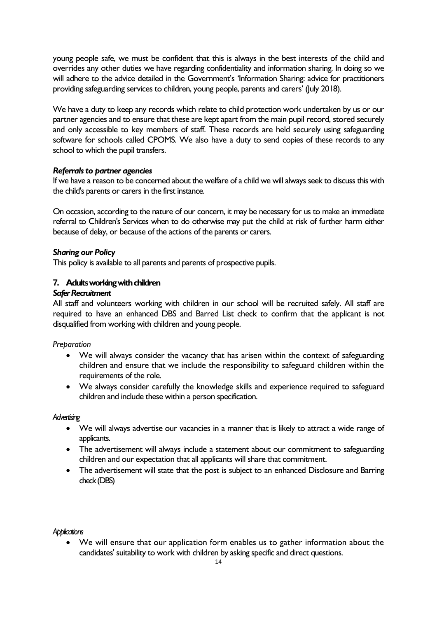young people safe, we must be confident that this is always in the best interests of the child and overrides any other duties we have regarding confidentiality and information sharing. In doing so we will adhere to the advice detailed in the Government's 'Information Sharing: advice for practitioners providing safeguarding services to children, young people, parents and carers' (July 2018).

We have a duty to keep any records which relate to child protection work undertaken by us or our partner agencies and to ensure that these are kept apart from the main pupil record, stored securely and only accessible to key members of staff. These records are held securely using safeguarding software for schools called CPOMS. We also have a duty to send copies of these records to any school to which the pupil transfers.

# *Referrals to partner agencies*

If we have a reason to be concerned about the welfare of a child we will always seek to discuss this with the child's parents or carers in the first instance.

On occasion, according to the nature of our concern, it may be necessary for us to make an immediate referral to Children's Services when to do otherwise may put the child at risk of further harm either because of delay, or because of the actions of the parents or carers.

# *Sharing our Policy*

This policy is available to all parents and parents of prospective pupils.

# **7. Adults working with children**

# *Safer Recruitment*

All staff and volunteers working with children in our school will be recruited safely. All staff are required to have an enhanced DBS and Barred List check to confirm that the applicant is not disqualified from working with children and young people.

*Preparation*

- We will always consider the vacancy that has arisen within the context of safeguarding children and ensure that we include the responsibility to safeguard children within the requirements of the role.
- We always consider carefully the knowledge skills and experience required to safeguard children and include these within a person specification.

#### *Advertising*

- We will always advertise our vacancies in a manner that is likely to attract a wide range of applicants.
- The advertisement will always include a statement about our commitment to safeguarding children and our expectation that all applicants will share that commitment.
- The advertisement will state that the post is subject to an enhanced Disclosure and Barring check (DBS)

#### *Applications*

• We will ensure that our application form enables us to gather information about the candidates' suitability to work with children by asking specific and direct questions.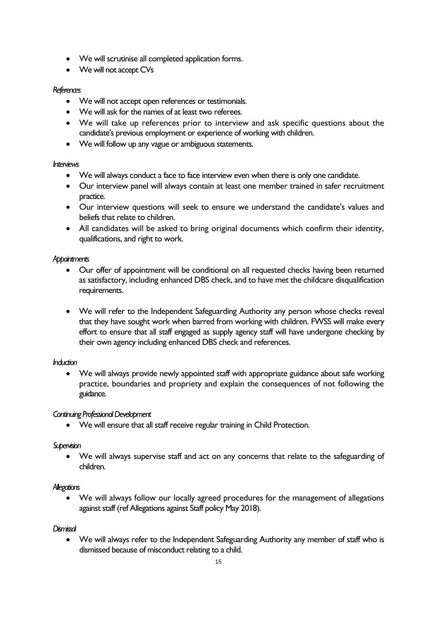- We will scrutinise all completed application forms.
- We will not accept CVs

# *References*

- We will not accept open references or testimonials.
- We will ask for the names of at least two referees.
- We will take up references prior to interview and ask specific questions about the candidate's previous employment or experience of working with children.
- We will follow up any vague or ambiguous statements.

# *Interviews*

- We will always conduct a face to face interview even when there is only one candidate.
- Our interview panel will always contain at least one member trained in safer recruitment practice.
- Our interview questions will seek to ensure we understand the candidate's values and beliefs that relate to children.
- All candidates will be asked to bring original documents which confirm their identity, qualifications, and right to work.

# *Appointments*

- Our offer of appointment will be conditional on all requested checks having been returned as satisfactory, including enhanced DBS check, and to have met the childcare disqualification requirements.
- We will refer to the Independent Safeguarding Authority any person whose checks reveal that they have sought work when barred from working with children. FWSS will make every effort to ensure that all staff engaged as supply agency staff will have undergone checking by their own agency including enhanced DBS check and references.

# *Induction*

• We will always provide newly appointed staff with appropriate guidance about safe working practice, boundaries and propriety and explain the consequences of not following the guidance.

# *Continuing Professional Development*

• We will ensure that all staff receive regular training in Child Protection.

# *Supervision*

• We will always supervise staff and act on any concerns that relate to the safeguarding of children.

# *Allegations*

• We will always follow our locally agreed procedures for the management of allegations against staff (ref Allegations against Staff policy May 2018).

# *Dismissal*

• We will always refer to the Independent Safeguarding Authority any member of staff who is dismissed because of misconduct relating to a child.